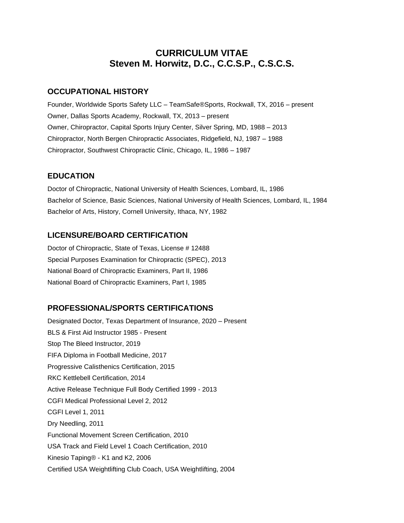# **CURRICULUM VITAE Steven M. Horwitz, D.C., C.C.S.P., C.S.C.S.**

#### **OCCUPATIONAL HISTORY**

Founder, Worldwide Sports Safety LLC – TeamSafe®Sports, Rockwall, TX, 2016 – present Owner, Dallas Sports Academy, Rockwall, TX, 2013 – present Owner, Chiropractor, Capital Sports Injury Center, Silver Spring, MD, 1988 – 2013 Chiropractor, North Bergen Chiropractic Associates, Ridgefield, NJ, 1987 – 1988 Chiropractor, Southwest Chiropractic Clinic, Chicago, IL, 1986 – 1987

### **EDUCATION**

Doctor of Chiropractic, National University of Health Sciences, Lombard, IL, 1986 Bachelor of Science, Basic Sciences, National University of Health Sciences, Lombard, IL, 1984 Bachelor of Arts, History, Cornell University, Ithaca, NY, 1982

# **LICENSURE/BOARD CERTIFICATION**

Doctor of Chiropractic, State of Texas, License # 12488 Special Purposes Examination for Chiropractic (SPEC), 2013 National Board of Chiropractic Examiners, Part II, 1986 National Board of Chiropractic Examiners, Part I, 1985

# **PROFESSIONAL/SPORTS CERTIFICATIONS**

Designated Doctor, Texas Department of Insurance, 2020 – Present BLS & First Aid Instructor 1985 - Present Stop The Bleed Instructor, 2019 FIFA Diploma in Football Medicine, 2017 Progressive Calisthenics Certification, 2015 RKC Kettlebell Certification, 2014 Active Release Technique Full Body Certified 1999 - 2013 CGFI Medical Professional Level 2, 2012 CGFI Level 1, 2011 Dry Needling, 2011 Functional Movement Screen Certification, 2010 USA Track and Field Level 1 Coach Certification, 2010 Kinesio Taping® - K1 and K2, 2006 Certified USA Weightlifting Club Coach, USA Weightlifting, 2004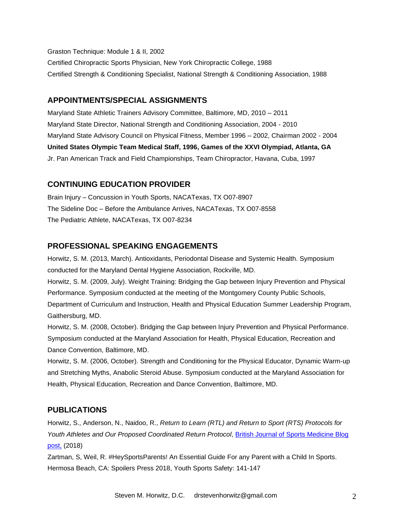Graston Technique: Module 1 & II, 2002

Certified Chiropractic Sports Physician, New York Chiropractic College, 1988 Certified Strength & Conditioning Specialist, National Strength & Conditioning Association, 1988

### **APPOINTMENTS/SPECIAL ASSIGNMENTS**

Maryland State Athletic Trainers Advisory Committee, Baltimore, MD, 2010 – 2011 Maryland State Director, National Strength and Conditioning Association, 2004 - 2010 Maryland State Advisory Council on Physical Fitness, Member 1996 – 2002, Chairman 2002 - 2004 **United States Olympic Team Medical Staff, 1996, Games of the XXVI Olympiad, Atlanta, GA** Jr. Pan American Track and Field Championships, Team Chiropractor, Havana, Cuba, 1997

### **CONTINUING EDUCATION PROVIDER**

Brain Injury – Concussion in Youth Sports, NACATexas, TX O07-8907 The Sideline Doc – Before the Ambulance Arrives, NACATexas, TX O07-8558 The Pediatric Athlete, NACATexas, TX O07-8234

### **PROFESSIONAL SPEAKING ENGAGEMENTS**

Horwitz, S. M. (2013, March). Antioxidants, Periodontal Disease and Systemic Health. Symposium conducted for the Maryland Dental Hygiene Association, Rockville, MD.

Horwitz, S. M. (2009, July). Weight Training: Bridging the Gap between Injury Prevention and Physical Performance. Symposium conducted at the meeting of the Montgomery County Public Schools, Department of Curriculum and Instruction, Health and Physical Education Summer Leadership Program, Gaithersburg, MD.

Horwitz, S. M. (2008, October). Bridging the Gap between Injury Prevention and Physical Performance. Symposium conducted at the Maryland Association for Health, Physical Education, Recreation and Dance Convention, Baltimore, MD.

Horwitz, S. M. (2006, October). Strength and Conditioning for the Physical Educator, Dynamic Warm-up and Stretching Myths, Anabolic Steroid Abuse. Symposium conducted at the Maryland Association for Health, Physical Education, Recreation and Dance Convention, Baltimore, MD.

### **PUBLICATIONS**

Horwitz, S., Anderson, N., Naidoo, R., *Return to Learn (RTL) and Return to Sport (RTS) Protocols for Youth Athletes and Our Proposed Coordinated Return Protocol*, [British Journal of Sports Medicine](http://blogs.bmj.com/bjsm/2018/05/11/return-to-learn-rtl-and-return-to-sport-rts-protocols-for-youth-athletes-and-our-proposed-coordinated-return-protocol/) Blog [post,](http://blogs.bmj.com/bjsm/2018/05/11/return-to-learn-rtl-and-return-to-sport-rts-protocols-for-youth-athletes-and-our-proposed-coordinated-return-protocol/) (2018)

Zartman, S, Weil, R. #HeySportsParents! An Essential Guide For any Parent with a Child In Sports. Hermosa Beach, CA: Spoilers Press 2018, Youth Sports Safety: 141-147